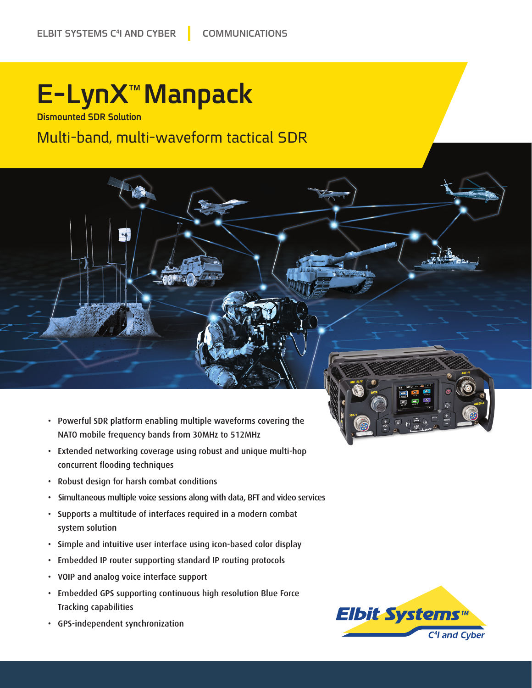## **E-LynX™Manpack**

**Dismounted SDR Solution** 

### Multi-band, multi-waveform tactical SDR

- Powerful SDR platform enabling multiple waveforms covering the NATO mobile frequency bands from 30MHz to 512MHz
- Extended networking coverage using robust and unique multi-hop concurrent flooding techniques
- Robust design for harsh combat conditions
- Simultaneous multiple voice sessions along with data, BFT and video services
- Supports a multitude of interfaces required in a modern combat system solution
- Simple and intuitive user interface using icon-based color display
- Embedded IP router supporting standard IP routing protocols
- VOIP and analog voice interface support
- Embedded GPS supporting continuous high resolution Blue Force Tracking capabilities
- GPS-independent synchronization